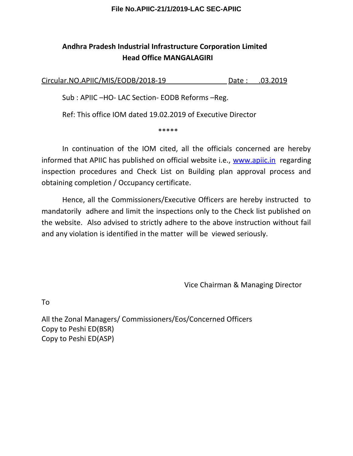### **File No.APIIC-21/1/2019-LAC SEC-APIIC**

# **Andhra Pradesh Industrial Infrastructure Corporation Limited Head Office MANGALAGIRI**

Circular.NO.APIIC/MIS/EODB/2018-19 Date : .03.2019

Sub : APIIC –HO- LAC Section- EODB Reforms –Reg.

Ref: This office IOM dated 19.02.2019 of Executive Director

\*\*\*\*\*

In continuation of the IOM cited, all the officials concerned are hereby informed that APIIC has published on official website i.e., [www.apiic.in](http://www.apiic.in/) regarding inspection procedures and Check List on Building plan approval process and obtaining completion / Occupancy certificate.

Hence, all the Commissioners/Executive Officers are hereby instructed to mandatorily adhere and limit the inspections only to the Check list published on the website. Also advised to strictly adhere to the above instruction without fail and any violation is identified in the matter will be viewed seriously.

Vice Chairman & Managing Director

To

All the Zonal Managers/ Commissioners/Eos/Concerned Officers Copy to Peshi ED(BSR) Copy to Peshi ED(ASP)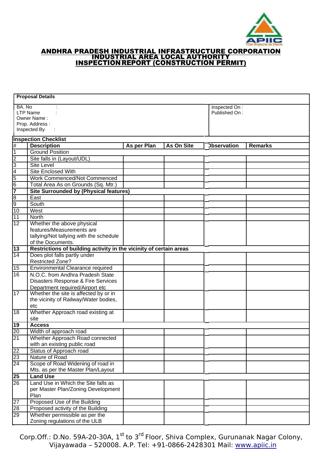

#### ANDHRA PRADESH INDUSTRIAL INFRASTRUCTURE CORPORATION INDUSTRIAL AREA LOCAL AUTHORITY INSPECTIONREPORT (CONSTRUCTION PERMIT)

|                 | <b>Proposal Details</b>                                            |               |            |                    |                |  |
|-----------------|--------------------------------------------------------------------|---------------|------------|--------------------|----------------|--|
| BA. No          |                                                                    | Inspected On: |            |                    |                |  |
|                 | <b>LTP Name</b>                                                    |               |            |                    | Published On:  |  |
| Owner Name:     |                                                                    |               |            |                    |                |  |
|                 | Prop. Address:                                                     |               |            |                    |                |  |
|                 | Inspected By                                                       |               |            |                    |                |  |
|                 | <b>Inspection Checklist</b>                                        |               |            |                    |                |  |
| #               | <b>Description</b>                                                 | As per Plan   | As On Site | <b>Observation</b> | <b>Remarks</b> |  |
| 1               | <b>Ground Position</b>                                             |               |            |                    |                |  |
| 2               | Site falls in (Layout/UDL)                                         |               |            |                    |                |  |
| 3               | <b>Site Level</b>                                                  |               |            |                    |                |  |
| 4               | <b>Site Enclosed With</b>                                          |               |            |                    |                |  |
| 5               | <b>Work Commenced/Not Commenced</b>                                |               |            |                    |                |  |
| 6               | Total Area As on Grounds (Sq. Mtr.)                                |               |            |                    |                |  |
| 7               | <b>Site Surrounded by (Physical features)</b>                      |               |            |                    |                |  |
| 8               | East                                                               |               |            |                    |                |  |
| 9               | South                                                              |               |            |                    |                |  |
| 10              | West                                                               |               |            |                    |                |  |
| 11              | North                                                              |               |            |                    |                |  |
| $\overline{12}$ | Whether the above physical                                         |               |            |                    |                |  |
|                 | features/Measurements are                                          |               |            |                    |                |  |
|                 | tallying/Not tallying with the schedule                            |               |            |                    |                |  |
|                 | of the Documents.                                                  |               |            |                    |                |  |
| 13              | Restrictions of building activity in the vicinity of certain areas |               |            |                    |                |  |
| 14              | Does plot falls partly under                                       |               |            |                    |                |  |
|                 | <b>Restricted Zone?</b>                                            |               |            |                    |                |  |
| 15              | Environmental Clearance required                                   |               |            |                    |                |  |
| 16              | N.O.C. from Andhra Pradesh State                                   |               |            |                    |                |  |
|                 | Disasters Response & Fire Services                                 |               |            |                    |                |  |
| 17              | Department required/Airport etc                                    |               |            |                    |                |  |
|                 | Whether the site is affected by or in                              |               |            |                    |                |  |
|                 | the vicinity of Railway/Water bodies,<br>etc                       |               |            |                    |                |  |
| 18              | Whether Approach road existing at                                  |               |            |                    |                |  |
|                 | site                                                               |               |            |                    |                |  |
| 19              | <b>Access</b>                                                      |               |            |                    |                |  |
| 20              | Width of approach road                                             |               |            |                    |                |  |
| 21              | Whether Approach Road connected                                    |               |            |                    |                |  |
|                 | with an existing public road                                       |               |            |                    |                |  |
| 22              | Status of Approach road                                            |               |            |                    |                |  |
| 23              | Nature of Road                                                     |               |            |                    |                |  |
| 24              | Scope of Road Widening of road in                                  |               |            |                    |                |  |
|                 | Mts. as per the Master Plan/Layout                                 |               |            |                    |                |  |
| 25              | <b>Land Use</b>                                                    |               |            |                    |                |  |
| 26              | Land Use in Which the Site falls as                                |               |            |                    |                |  |
|                 | per Master Plan/Zoning Development                                 |               |            |                    |                |  |
|                 | Plan                                                               |               |            |                    |                |  |
| 27              | Proposed Use of the Building                                       |               |            |                    |                |  |
| 28              | Proposed activity of the Building                                  |               |            |                    |                |  |
| 29              | Whether permissible as per the                                     |               |            |                    |                |  |
|                 | Zoning regulations of the ULB                                      |               |            |                    |                |  |
|                 |                                                                    |               |            |                    |                |  |

Corp.Off.: D.No. 59A-20-30A, 1<sup>st</sup> to 3<sup>rd</sup> Floor, Shiva Complex, [Gurunanak Nagar](http://www.apiic.in/) Colony, Vijayawada – 520008. A.P. Tel: +91-0866-2428301 Mail: <u>www.apiic.in</u>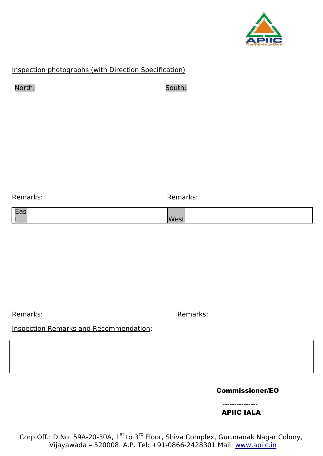

## Inspection photographs (with Direction Specification)

| $\mathbf{r}$ |  |
|--------------|--|
|              |  |

Remarks: Remarks:

Remarks: Remarks:

## Inspection Remarks and Recommendation:

Commissioner/EO

#### --------------- APIIC IALA

Corp.Off.: D.No. 59A-20-30A, 1<sup>st</sup> to 3<sup>rd</sup> Floor, Shiva Complex, [Gurunanak Nagar](http://www.apiic.in/) Colony, Vijayawada – 520008. A.P. Tel: +91-0866-2428301 Mail: <u>www.apiic.in</u>